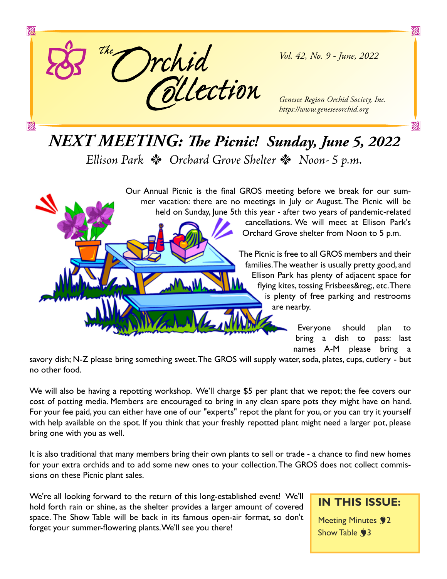

*Vol. 42, No. 9 - June, 2022*

X

X

*Genesee Region Orchid Society, Inc. https://www.geneseeorchid.org*

# *NEXT MEETING: The Picnic! Sunday, June 5, 2022*

*Ellison Park \* Orchard Grove Shelter \* Noon- 5 p.m.* 

Our Annual Picnic is the final GROS meeting before we break for our summer vacation: there are no meetings in July or August. The Picnic will be held on Sunday, June 5th this year - after two years of pandemic-related

cancellations. We will meet at Ellison Park's Orchard Grove shelter from Noon to 5 p.m.

The Picnic is free to all GROS members and their families. The weather is usually pretty good, and Ellison Park has plenty of adjacent space for flying kites, tossing Frisbees®, etc. There is plenty of free parking and restrooms are nearby.

> Everyone should plan to bring a dish to pass: last names A-M please bring a

savory dish; N-Z please bring something sweet. The GROS will supply water, soda, plates, cups, cutlery - but no other food.

We will also be having a repotting workshop. We'll charge \$5 per plant that we repot; the fee covers our cost of potting media. Members are encouraged to bring in any clean spare pots they might have on hand. For your fee paid, you can either have one of our "experts" repot the plant for you, or you can try it yourself with help available on the spot. If you think that your freshly repotted plant might need a larger pot, please bring one with you as well.

It is also traditional that many members bring their own plants to sell or trade - a chance to find new homes for your extra orchids and to add some new ones to your collection. The GROS does not collect commissions on these Picnic plant sales.

We're all looking forward to the return of this long-established event! We'll hold forth rain or shine, as the shelter provides a larger amount of covered space. The Show Table will be back in its famous open-air format, so don't forget your summer-flowering plants. We'll see you there!

#### **IN THIS ISSUE:**

Meeting Minutes **92** Show Table  $\sqrt{3}$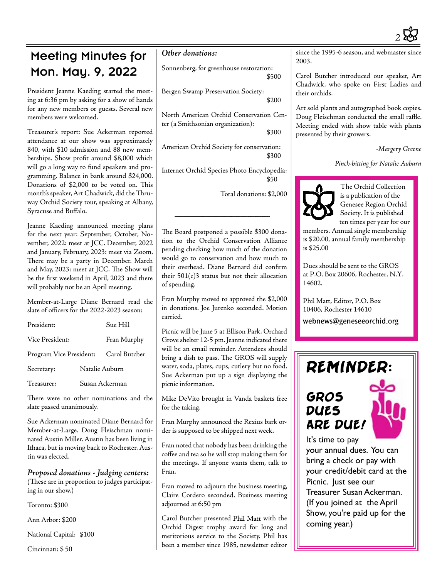

### Meeting Minutes for Mon. May. 9, 2022

President Jeanne Kaeding started the meeting at 6:36 pm by asking for a show of hands for any new members or guests. Several new members were welcomed.

Treasurer's report: Sue Ackerman reported attendance at our show was approximately 840, with \$10 admission and 88 new memberships. Show profit around \$8,000 which will go a long way to fund speakers and programming. Balance in bank around \$24,000. Donations of \$2,000 to be voted on. This month's speaker, Art Chadwick, did the Thruway Orchid Society tour, speaking at Albany, Syracuse and Buffalo.

Jeanne Kaeding announced meeting plans for the next year: September, October, November, 2022: meet at JCC. December, 2022 and January, February, 2023: meet via Zoom. There may be a party in December. March and May, 2023: meet at JCC. The Show will be the first weekend in April, 2023 and there will probably not be an April meeting.

Member-at-Large Diane Bernard read the slate of officers for the 2022-2023 season:

| President:              |                | Sue Hill      |  |
|-------------------------|----------------|---------------|--|
| Vice President:         |                | Fran Murphy   |  |
| Program Vice President: |                | Carol Butcher |  |
| Secretary:              | Natalie Auburn |               |  |
| Treasurer:              | Susan Ackerman |               |  |

There were no other nominations and the slate passed unanimously.

Sue Ackerman nominated Diane Bernard for Member-at-Large. Doug Fleischman nominated Austin Miller. Austin has been living in Ithaca, but is moving back to Rochester. Austin was elected.

*Proposed donations - Judging centers: (*These are in proportion to judges participating in our show.)

Toronto: \$300

Ann Arbor: \$200

National Capital: \$100

Cincinnati: \$ 50

#### *Other donations:*

Sonnenberg, for greenhouse restoration: \$500

Bergen Swamp Preservation Society:  $$200$ 

North American Orchid Conservation Center (a Smithsonian organization):

 $$300$ 

American Orchid Society for conservation:  $$300$ 

Internet Orchid Species Photo Encyclopedia:  $$50$ 

Total donations: \$2,000

The Board postponed a possible \$300 donation to the Orchid Conservation Alliance pending checking how much of the donation would go to conservation and how much to their overhead. Diane Bernard did confirm their  $501(c)3$  status but not their allocation of spending.

Fran Murphy moved to approved the \$2,000 in donations. Joe Jurenko seconded. Motion carried.

Picnic will be June 5 at Ellison Park, Orchard Grove shelter 12-5 pm. Jeanne indicated there will be an email reminder. Attendees should bring a dish to pass. The GROS will supply water, soda, plates, cups, cutlery but no food. Sue Ackerman put up a sign displaying the picnic information.

Mike DeVito brought in Vanda baskets free for the taking.

Fran Murphy announced the Rexius bark order is supposed to be shipped next week.

Fran noted that nobody has been drinking the coffee and tea so he will stop making them for the meetings. If anyone wants them, talk to Fran.

Fran moved to adjourn the business meeting, Claire Cordero seconded. Business meeting adjourned at 6:50 pm

Carol Butcher presented Phil Matt with the Orchid Digest trophy award for long and meritorious service to the Society. Phil has been a member since 1985, newsletter editor

since the 1995-6 season, and webmaster sin 2003.

Carol Butcher introduced our speaker, Art Chadwick, who spoke on First Ladies and their orchids.

Art sold plants and autographed book copies. Doug Fleischman conducted the small raffle. Meeting ended with show table with plants presented by their growers.

*-Margery Greene*

*Pinch-hitting for Natalie Auburn*



 The Orchid Collection is a publication of the Genesee Region Orchid Society. It is published ten times per year for our

members. Annual single membership is \$20.00, annual family membership is \$25.00

Dues should be sent to the GROS at P.O. Box 20606, Rochester, N.Y. 14602.

Phil Matt, Editor, P.O. Box 10406, Rochester 14610 webnews@geneseeorchid.org

## REMINDER:

## gros dues are due!



It's time to pay your annual dues. You can bring a check or pay with your credit/debit card at the Picnic. Just see our Treasurer Susan Ackerman. (If you joined at the April Show, you're paid up for the coming year.)